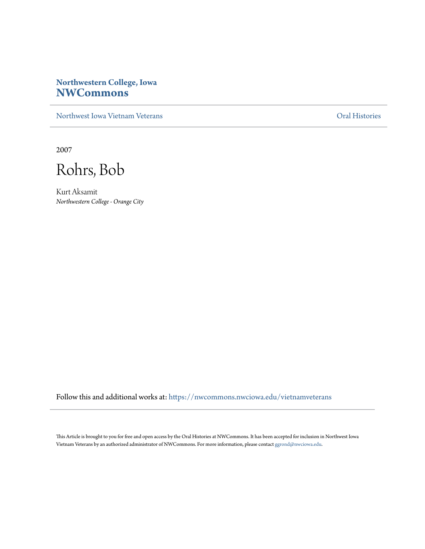## **Northwestern College, Iowa [NWCommons](https://nwcommons.nwciowa.edu?utm_source=nwcommons.nwciowa.edu%2Fvietnamveterans%2F6&utm_medium=PDF&utm_campaign=PDFCoverPages)**

[Northwest Iowa Vietnam Veterans](https://nwcommons.nwciowa.edu/vietnamveterans?utm_source=nwcommons.nwciowa.edu%2Fvietnamveterans%2F6&utm_medium=PDF&utm_campaign=PDFCoverPages) [Oral Histories](https://nwcommons.nwciowa.edu/oralhistories?utm_source=nwcommons.nwciowa.edu%2Fvietnamveterans%2F6&utm_medium=PDF&utm_campaign=PDFCoverPages)

2007

Rohrs, Bob

Kurt Aksamit *Northwestern College - Orange City*

Follow this and additional works at: [https://nwcommons.nwciowa.edu/vietnamveterans](https://nwcommons.nwciowa.edu/vietnamveterans?utm_source=nwcommons.nwciowa.edu%2Fvietnamveterans%2F6&utm_medium=PDF&utm_campaign=PDFCoverPages)

This Article is brought to you for free and open access by the Oral Histories at NWCommons. It has been accepted for inclusion in Northwest Iowa Vietnam Veterans by an authorized administrator of NWCommons. For more information, please contact [ggrond@nwciowa.edu](mailto:ggrond@nwciowa.edu).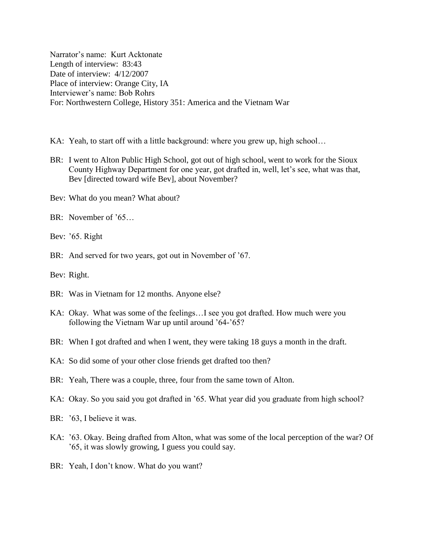Narrator"s name: Kurt Acktonate Length of interview: 83:43 Date of interview: 4/12/2007 Place of interview: Orange City, IA Interviewer"s name: Bob Rohrs For: Northwestern College, History 351: America and the Vietnam War

- KA: Yeah, to start off with a little background: where you grew up, high school...
- BR: I went to Alton Public High School, got out of high school, went to work for the Sioux County Highway Department for one year, got drafted in, well, let"s see, what was that, Bev [directed toward wife Bev], about November?
- Bev: What do you mean? What about?
- BR: November of '65…
- Bev: '65. Right
- BR: And served for two years, got out in November of '67.
- Bev: Right.
- BR: Was in Vietnam for 12 months. Anyone else?
- KA: Okay. What was some of the feelings…I see you got drafted. How much were you following the Vietnam War up until around '64-'65?
- BR: When I got drafted and when I went, they were taking 18 guys a month in the draft.
- KA: So did some of your other close friends get drafted too then?
- BR: Yeah, There was a couple, three, four from the same town of Alton.
- KA: Okay. So you said you got drafted in '65. What year did you graduate from high school?
- BR: '63, I believe it was.
- KA: "63. Okay. Being drafted from Alton, what was some of the local perception of the war? Of "65, it was slowly growing, I guess you could say.
- BR: Yeah, I don't know. What do you want?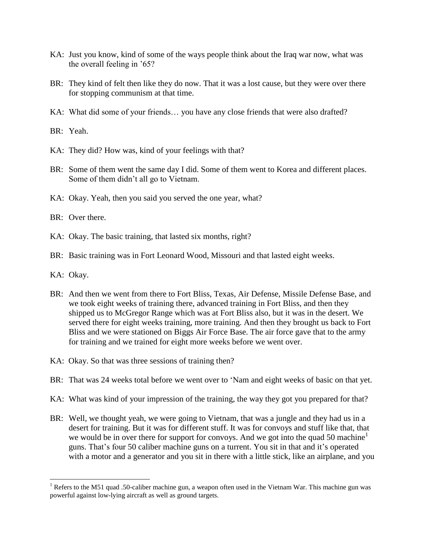- KA: Just you know, kind of some of the ways people think about the Iraq war now, what was the overall feeling in '65?
- BR: They kind of felt then like they do now. That it was a lost cause, but they were over there for stopping communism at that time.
- KA: What did some of your friends… you have any close friends that were also drafted?

BR: Yeah.

- KA: They did? How was, kind of your feelings with that?
- BR: Some of them went the same day I did. Some of them went to Korea and different places. Some of them didn"t all go to Vietnam.
- KA: Okay. Yeah, then you said you served the one year, what?
- BR: Over there.
- KA: Okay. The basic training, that lasted six months, right?
- BR: Basic training was in Fort Leonard Wood, Missouri and that lasted eight weeks.
- KA: Okay.

- BR: And then we went from there to Fort Bliss, Texas, Air Defense, Missile Defense Base, and we took eight weeks of training there, advanced training in Fort Bliss, and then they shipped us to McGregor Range which was at Fort Bliss also, but it was in the desert. We served there for eight weeks training, more training. And then they brought us back to Fort Bliss and we were stationed on Biggs Air Force Base. The air force gave that to the army for training and we trained for eight more weeks before we went over.
- KA: Okay. So that was three sessions of training then?
- BR: That was 24 weeks total before we went over to "Nam and eight weeks of basic on that yet.
- KA: What was kind of your impression of the training, the way they got you prepared for that?
- BR: Well, we thought yeah, we were going to Vietnam, that was a jungle and they had us in a desert for training. But it was for different stuff. It was for convoys and stuff like that, that we would be in over there for support for convoys. And we got into the quad 50 machine<sup>1</sup> guns. That's four 50 caliber machine guns on a turrent. You sit in that and it's operated with a motor and a generator and you sit in there with a little stick, like an airplane, and you

<sup>&</sup>lt;sup>1</sup> Refers to the M51 quad .50-caliber machine gun, a weapon often used in the Vietnam War. This machine gun was powerful against low-lying aircraft as well as ground targets.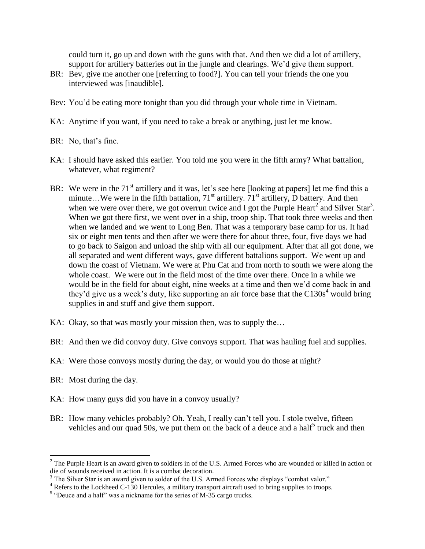could turn it, go up and down with the guns with that. And then we did a lot of artillery, support for artillery batteries out in the jungle and clearings. We'd give them support.

- BR: Bev, give me another one [referring to food?]. You can tell your friends the one you interviewed was [inaudible].
- Bev: You'd be eating more tonight than you did through your whole time in Vietnam.
- KA: Anytime if you want, if you need to take a break or anything, just let me know.
- BR: No, that's fine.
- KA: I should have asked this earlier. You told me you were in the fifth army? What battalion, whatever, what regiment?
- BR: We were in the 71<sup>st</sup> artillery and it was, let's see here [looking at papers] let me find this a minute...We were in the fifth battalion,  $71<sup>st</sup>$  artillery,  $71<sup>st</sup>$  artillery, D battery. And then when we were over there, we got overrun twice and I got the Purple Heart<sup>2</sup> and Silver Star<sup>3</sup>. When we got there first, we went over in a ship, troop ship. That took three weeks and then when we landed and we went to Long Ben. That was a temporary base camp for us. It had six or eight men tents and then after we were there for about three, four, five days we had to go back to Saigon and unload the ship with all our equipment. After that all got done, we all separated and went different ways, gave different battalions support. We went up and down the coast of Vietnam. We were at Phu Cat and from north to south we were along the whole coast. We were out in the field most of the time over there. Once in a while we would be in the field for about eight, nine weeks at a time and then we"d come back in and they'd give us a week's duty, like supporting an air force base that the  $C130s<sup>4</sup>$  would bring supplies in and stuff and give them support.
- KA: Okay, so that was mostly your mission then, was to supply the...
- BR: And then we did convoy duty. Give convoys support. That was hauling fuel and supplies.
- KA: Were those convoys mostly during the day, or would you do those at night?
- BR: Most during the day.

- KA: How many guys did you have in a convoy usually?
- BR: How many vehicles probably? Oh. Yeah, I really can't tell you. I stole twelve, fifteen vehicles and our quad 50s, we put them on the back of a deuce and a half<sup>5</sup> truck and then

 $2^2$  The Purple Heart is an award given to soldiers in of the U.S. Armed Forces who are wounded or killed in action or die of wounds received in action. It is a combat decoration.

<sup>&</sup>lt;sup>3</sup> The Silver Star is an award given to solder of the U.S. Armed Forces who displays "combat valor."

<sup>&</sup>lt;sup>4</sup> Refers to the Lockheed C-130 Hercules, a military transport aircraft used to bring supplies to troops.

 $<sup>5</sup>$  "Deuce and a half" was a nickname for the series of M-35 cargo trucks.</sup>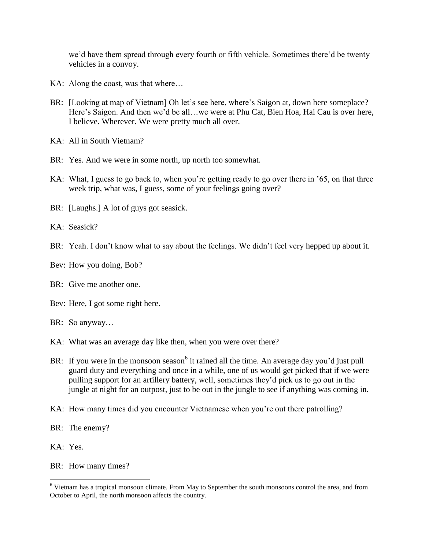we"d have them spread through every fourth or fifth vehicle. Sometimes there"d be twenty vehicles in a convoy.

- KA: Along the coast, was that where...
- BR: [Looking at map of Vietnam] Oh let's see here, where's Saigon at, down here someplace? Here's Saigon. And then we'd be all...we were at Phu Cat, Bien Hoa, Hai Cau is over here, I believe. Wherever. We were pretty much all over.
- KA: All in South Vietnam?
- BR: Yes. And we were in some north, up north too somewhat.
- KA: What, I guess to go back to, when you're getting ready to go over there in '65, on that three week trip, what was, I guess, some of your feelings going over?
- BR: [Laughs.] A lot of guys got seasick.
- KA: Seasick?
- BR: Yeah. I don't know what to say about the feelings. We didn't feel very hepped up about it.
- Bev: How you doing, Bob?
- BR: Give me another one.
- Bev: Here, I got some right here.
- BR: So anyway…
- KA: What was an average day like then, when you were over there?
- BR: If you were in the monsoon season  $6$  it rained all the time. An average day you'd just pull guard duty and everything and once in a while, one of us would get picked that if we were pulling support for an artillery battery, well, sometimes they"d pick us to go out in the jungle at night for an outpost, just to be out in the jungle to see if anything was coming in.
- KA: How many times did you encounter Vietnamese when you're out there patrolling?
- BR: The enemy?
- KA: Yes.

 $\overline{a}$ 

BR: How many times?

<sup>6</sup> Vietnam has a tropical monsoon climate. From May to September the south monsoons control the area, and from October to April, the north monsoon affects the country.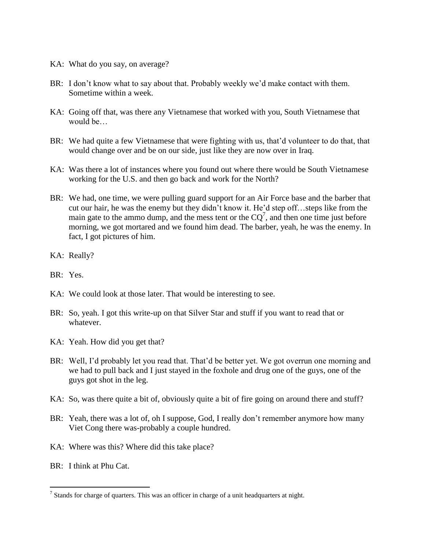- KA: What do you say, on average?
- BR: I don't know what to say about that. Probably weekly we'd make contact with them. Sometime within a week.
- KA: Going off that, was there any Vietnamese that worked with you, South Vietnamese that would be
- BR: We had quite a few Vietnamese that were fighting with us, that'd volunteer to do that, that would change over and be on our side, just like they are now over in Iraq.
- KA: Was there a lot of instances where you found out where there would be South Vietnamese working for the U.S. and then go back and work for the North?
- BR: We had, one time, we were pulling guard support for an Air Force base and the barber that cut our hair, he was the enemy but they didn"t know it. He"d step off…steps like from the main gate to the ammo dump, and the mess tent or the  $CQ^7$ , and then one time just before morning, we got mortared and we found him dead. The barber, yeah, he was the enemy. In fact, I got pictures of him.
- KA: Really?
- BR: Yes.
- KA: We could look at those later. That would be interesting to see.
- BR: So, yeah. I got this write-up on that Silver Star and stuff if you want to read that or whatever.
- KA: Yeah. How did you get that?
- BR: Well, I'd probably let you read that. That'd be better yet. We got overrun one morning and we had to pull back and I just stayed in the foxhole and drug one of the guys, one of the guys got shot in the leg.
- KA: So, was there quite a bit of, obviously quite a bit of fire going on around there and stuff?
- BR: Yeah, there was a lot of, oh I suppose, God, I really don't remember anymore how many Viet Cong there was-probably a couple hundred.
- KA: Where was this? Where did this take place?
- BR: I think at Phu Cat.

 $<sup>7</sup>$  Stands for charge of quarters. This was an officer in charge of a unit headquarters at night.</sup>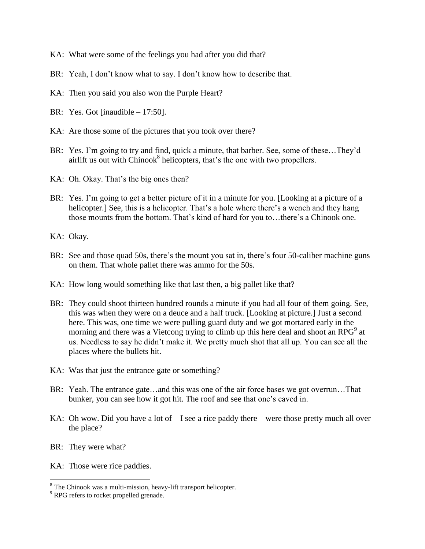- KA: What were some of the feelings you had after you did that?
- BR: Yeah, I don't know what to say. I don't know how to describe that.
- KA: Then you said you also won the Purple Heart?
- BR: Yes. Got [inaudible 17:50].
- KA: Are those some of the pictures that you took over there?
- BR: Yes. I'm going to try and find, quick a minute, that barber. See, some of these...They'd airlift us out with  $Chinook<sup>8</sup>$  helicopters, that's the one with two propellers.
- KA: Oh. Okay. That's the big ones then?
- BR: Yes. I'm going to get a better picture of it in a minute for you. [Looking at a picture of a helicopter.] See, this is a helicopter. That's a hole where there's a wench and they hang those mounts from the bottom. That's kind of hard for you to...there's a Chinook one.
- KA: Okay.
- BR: See and those quad 50s, there's the mount you sat in, there's four 50-caliber machine guns on them. That whole pallet there was ammo for the 50s.
- KA: How long would something like that last then, a big pallet like that?
- BR: They could shoot thirteen hundred rounds a minute if you had all four of them going. See, this was when they were on a deuce and a half truck. [Looking at picture.] Just a second here. This was, one time we were pulling guard duty and we got mortared early in the morning and there was a Vietcong trying to climb up this here deal and shoot an RPG<sup>9</sup> at us. Needless to say he didn"t make it. We pretty much shot that all up. You can see all the places where the bullets hit.
- KA: Was that just the entrance gate or something?
- BR: Yeah. The entrance gate…and this was one of the air force bases we got overrun…That bunker, you can see how it got hit. The roof and see that one"s caved in.
- KA: Oh wow. Did you have a lot of  $-$  I see a rice paddy there  $-$  were those pretty much all over the place?
- BR: They were what?

 $\overline{a}$ 

KA: Those were rice paddies.

 $8$  The Chinook was a multi-mission, heavy-lift transport helicopter.

<sup>&</sup>lt;sup>9</sup> RPG refers to rocket propelled grenade.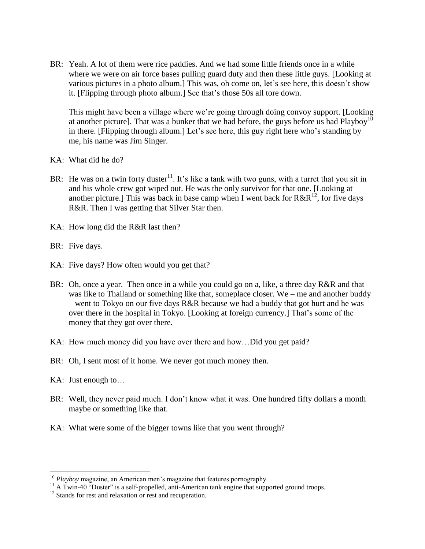BR: Yeah. A lot of them were rice paddies. And we had some little friends once in a while where we were on air force bases pulling guard duty and then these little guys. [Looking at various pictures in a photo album.] This was, oh come on, let's see here, this doesn't show it. [Flipping through photo album.] See that's those 50s all tore down.

This might have been a village where we"re going through doing convoy support. [Looking at another picture]. That was a bunker that we had before, the guys before us had  $Playboy<sup>10</sup>$ in there. [Flipping through album.] Let's see here, this guy right here who's standing by me, his name was Jim Singer.

- KA: What did he do?
- BR: He was on a twin forty duster<sup>11</sup>. It's like a tank with two guns, with a turret that you sit in and his whole crew got wiped out. He was the only survivor for that one. [Looking at another picture.] This was back in base camp when I went back for  $R\&R^{12}$ , for five days R&R. Then I was getting that Silver Star then.
- KA: How long did the R&R last then?

BR: Five days.

- KA: Five days? How often would you get that?
- BR: Oh, once a year. Then once in a while you could go on a, like, a three day R&R and that was like to Thailand or something like that, someplace closer. We – me and another buddy – went to Tokyo on our five days R&R because we had a buddy that got hurt and he was over there in the hospital in Tokyo. [Looking at foreign currency.] That's some of the money that they got over there.
- KA: How much money did you have over there and how…Did you get paid?
- BR: Oh, I sent most of it home. We never got much money then.
- KA: Just enough to…

- BR: Well, they never paid much. I don't know what it was. One hundred fifty dollars a month maybe or something like that.
- KA: What were some of the bigger towns like that you went through?

<sup>&</sup>lt;sup>10</sup> *Playboy* magazine, an American men's magazine that features pornography.

<sup>&</sup>lt;sup>11</sup> A Twin-40 "Duster" is a self-propelled, anti-American tank engine that supported ground troops.

<sup>&</sup>lt;sup>12</sup> Stands for rest and relaxation or rest and recuperation.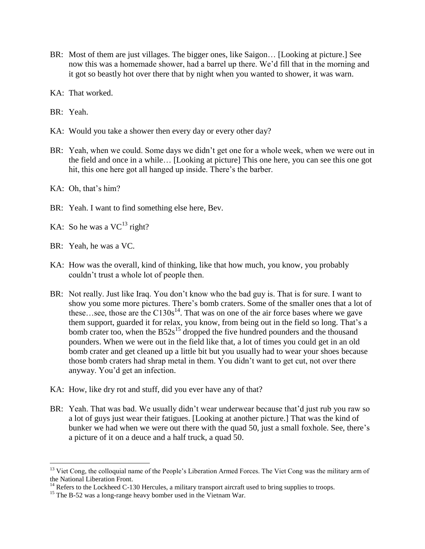- BR: Most of them are just villages. The bigger ones, like Saigon… [Looking at picture.] See now this was a homemade shower, had a barrel up there. We"d fill that in the morning and it got so beastly hot over there that by night when you wanted to shower, it was warn.
- KA: That worked.
- BR: Yeah.
- KA: Would you take a shower then every day or every other day?
- BR: Yeah, when we could. Some days we didn"t get one for a whole week, when we were out in the field and once in a while… [Looking at picture] This one here, you can see this one got hit, this one here got all hanged up inside. There's the barber.
- KA: Oh, that's him?
- BR: Yeah. I want to find something else here, Bev.
- KA: So he was a  $VC^{13}$  right?
- BR: Yeah, he was a VC.

- KA: How was the overall, kind of thinking, like that how much, you know, you probably couldn"t trust a whole lot of people then.
- BR: Not really. Just like Iraq. You don't know who the bad guy is. That is for sure. I want to show you some more pictures. There"s bomb craters. Some of the smaller ones that a lot of these...see, those are the  $C130s<sup>14</sup>$ . That was on one of the air force bases where we gave them support, guarded it for relax, you know, from being out in the field so long. That's a bomb crater too, when the  $B52s^{15}$  dropped the five hundred pounders and the thousand pounders. When we were out in the field like that, a lot of times you could get in an old bomb crater and get cleaned up a little bit but you usually had to wear your shoes because those bomb craters had shrap metal in them. You didn"t want to get cut, not over there anyway. You"d get an infection.
- KA: How, like dry rot and stuff, did you ever have any of that?
- BR: Yeah. That was bad. We usually didn't wear underwear because that'd just rub you raw so a lot of guys just wear their fatigues. [Looking at another picture.] That was the kind of bunker we had when we were out there with the quad 50, just a small foxhole. See, there's a picture of it on a deuce and a half truck, a quad 50.

<sup>&</sup>lt;sup>13</sup> Viet Cong, the colloquial name of the People's Liberation Armed Forces. The Viet Cong was the military arm of the National Liberation Front.

 $14$  Refers to the Lockheed C-130 Hercules, a military transport aircraft used to bring supplies to troops.

<sup>&</sup>lt;sup>15</sup> The B-52 was a long-range heavy bomber used in the Vietnam War.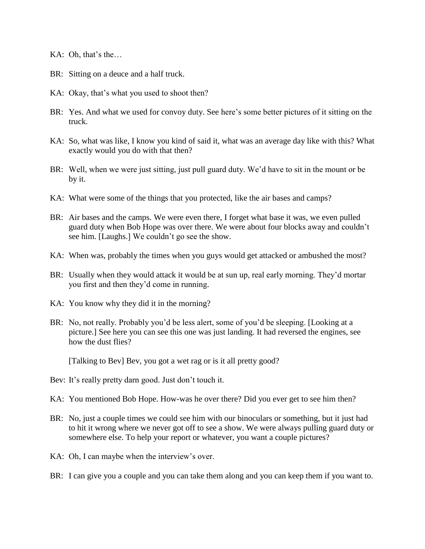KA: Oh, that's the...

- BR: Sitting on a deuce and a half truck.
- KA: Okay, that's what you used to shoot then?
- BR: Yes. And what we used for convoy duty. See here's some better pictures of it sitting on the truck.
- KA: So, what was like, I know you kind of said it, what was an average day like with this? What exactly would you do with that then?
- BR: Well, when we were just sitting, just pull guard duty. We'd have to sit in the mount or be by it.
- KA: What were some of the things that you protected, like the air bases and camps?
- BR: Air bases and the camps. We were even there, I forget what base it was, we even pulled guard duty when Bob Hope was over there. We were about four blocks away and couldn"t see him. [Laughs.] We couldn"t go see the show.
- KA: When was, probably the times when you guys would get attacked or ambushed the most?
- BR: Usually when they would attack it would be at sun up, real early morning. They"d mortar you first and then they"d come in running.
- KA: You know why they did it in the morning?
- BR: No, not really. Probably you'd be less alert, some of you'd be sleeping. [Looking at a picture.] See here you can see this one was just landing. It had reversed the engines, see how the dust flies?

[Talking to Bev] Bev, you got a wet rag or is it all pretty good?

- Bev: It's really pretty darn good. Just don't touch it.
- KA: You mentioned Bob Hope. How-was he over there? Did you ever get to see him then?
- BR: No, just a couple times we could see him with our binoculars or something, but it just had to hit it wrong where we never got off to see a show. We were always pulling guard duty or somewhere else. To help your report or whatever, you want a couple pictures?
- KA: Oh, I can maybe when the interview's over.
- BR: I can give you a couple and you can take them along and you can keep them if you want to.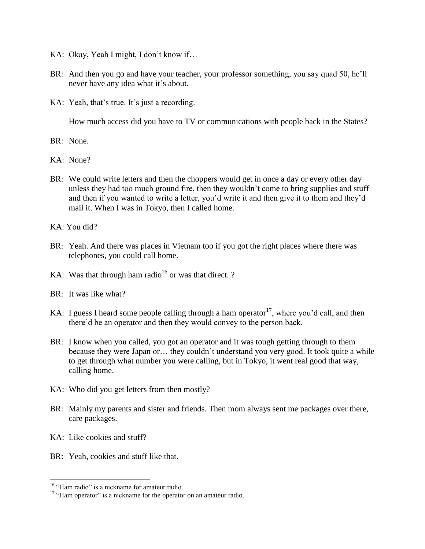- KA: Okay, Yeah I might, I don't know if...
- BR: And then you go and have your teacher, your professor something, you say quad 50, he'll never have any idea what it's about.
- KA: Yeah, that's true. It's just a recording.

How much access did you have to TV or communications with people back in the States?

- BR: None.
- KA: None?
- BR: We could write letters and then the choppers would get in once a day or every other day unless they had too much ground fire, then they wouldn"t come to bring supplies and stuff and then if you wanted to write a letter, you"d write it and then give it to them and they"d mail it. When I was in Tokyo, then I called home.
- KA: You did?
- BR: Yeah. And there was places in Vietnam too if you got the right places where there was telephones, you could call home.
- KA: Was that through ham radio<sup>16</sup> or was that direct..?
- BR: It was like what?
- KA: I guess I heard some people calling through a ham operator<sup>17</sup>, where you'd call, and then there"d be an operator and then they would convey to the person back.
- BR: I know when you called, you got an operator and it was tough getting through to them because they were Japan or… they couldn"t understand you very good. It took quite a while to get through what number you were calling, but in Tokyo, it went real good that way, calling home.
- KA: Who did you get letters from then mostly?
- BR: Mainly my parents and sister and friends. Then mom always sent me packages over there, care packages.
- KA: Like cookies and stuff?

 $\overline{a}$ 

BR: Yeah, cookies and stuff like that.

<sup>&</sup>lt;sup>16</sup> "Ham radio" is a nickname for amateur radio.

<sup>&</sup>lt;sup>17</sup> "Ham operator" is a nickname for the operator on an amateur radio.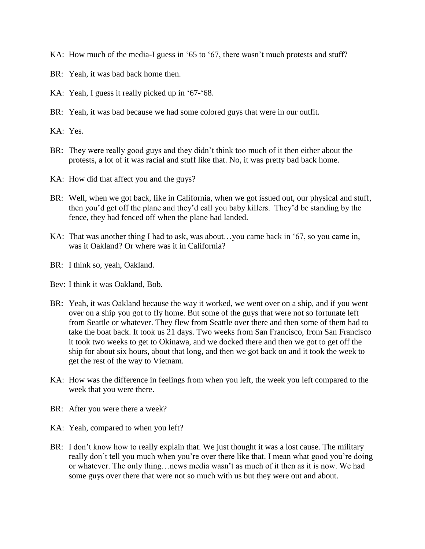- KA: How much of the media-I guess in '65 to '67, there wasn't much protests and stuff?
- BR: Yeah, it was bad back home then.
- KA: Yeah, I guess it really picked up in '67-'68.
- BR: Yeah, it was bad because we had some colored guys that were in our outfit.
- KA: Yes.
- BR: They were really good guys and they didn"t think too much of it then either about the protests, a lot of it was racial and stuff like that. No, it was pretty bad back home.
- KA: How did that affect you and the guys?
- BR: Well, when we got back, like in California, when we got issued out, our physical and stuff, then you"d get off the plane and they"d call you baby killers. They"d be standing by the fence, they had fenced off when the plane had landed.
- KA: That was another thing I had to ask, was about…you came back in "67, so you came in, was it Oakland? Or where was it in California?
- BR: I think so, yeah, Oakland.
- Bev: I think it was Oakland, Bob.
- BR: Yeah, it was Oakland because the way it worked, we went over on a ship, and if you went over on a ship you got to fly home. But some of the guys that were not so fortunate left from Seattle or whatever. They flew from Seattle over there and then some of them had to take the boat back. It took us 21 days. Two weeks from San Francisco, from San Francisco it took two weeks to get to Okinawa, and we docked there and then we got to get off the ship for about six hours, about that long, and then we got back on and it took the week to get the rest of the way to Vietnam.
- KA: How was the difference in feelings from when you left, the week you left compared to the week that you were there.
- BR: After you were there a week?
- KA: Yeah, compared to when you left?
- BR: I don't know how to really explain that. We just thought it was a lost cause. The military really don't tell you much when you're over there like that. I mean what good you're doing or whatever. The only thing…news media wasn"t as much of it then as it is now. We had some guys over there that were not so much with us but they were out and about.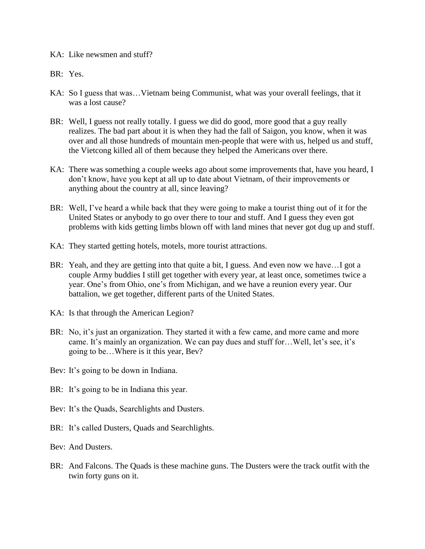## KA: Like newsmen and stuff?

- BR: Yes.
- KA: So I guess that was…Vietnam being Communist, what was your overall feelings, that it was a lost cause?
- BR: Well, I guess not really totally. I guess we did do good, more good that a guy really realizes. The bad part about it is when they had the fall of Saigon, you know, when it was over and all those hundreds of mountain men-people that were with us, helped us and stuff, the Vietcong killed all of them because they helped the Americans over there.
- KA: There was something a couple weeks ago about some improvements that, have you heard, I don"t know, have you kept at all up to date about Vietnam, of their improvements or anything about the country at all, since leaving?
- BR: Well, I've heard a while back that they were going to make a tourist thing out of it for the United States or anybody to go over there to tour and stuff. And I guess they even got problems with kids getting limbs blown off with land mines that never got dug up and stuff.
- KA: They started getting hotels, motels, more tourist attractions.
- BR: Yeah, and they are getting into that quite a bit, I guess. And even now we have…I got a couple Army buddies I still get together with every year, at least once, sometimes twice a year. One"s from Ohio, one"s from Michigan, and we have a reunion every year. Our battalion, we get together, different parts of the United States.
- KA: Is that through the American Legion?
- BR: No, it's just an organization. They started it with a few came, and more came and more came. It's mainly an organization. We can pay dues and stuff for... Well, let's see, it's going to be…Where is it this year, Bev?
- Bev: It's going to be down in Indiana.
- BR: It's going to be in Indiana this year.
- Bev: It's the Quads, Searchlights and Dusters.
- BR: It's called Dusters, Quads and Searchlights.
- Bev: And Dusters.
- BR: And Falcons. The Quads is these machine guns. The Dusters were the track outfit with the twin forty guns on it.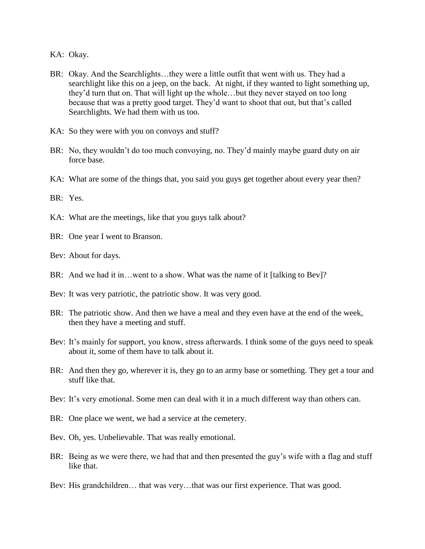KA: Okay.

- BR: Okay. And the Searchlights…they were a little outfit that went with us. They had a searchlight like this on a jeep, on the back. At night, if they wanted to light something up, they"d turn that on. That will light up the whole…but they never stayed on too long because that was a pretty good target. They'd want to shoot that out, but that's called Searchlights. We had them with us too.
- KA: So they were with you on convoys and stuff?
- BR: No, they wouldn"t do too much convoying, no. They"d mainly maybe guard duty on air force base.
- KA: What are some of the things that, you said you guys get together about every year then?

BR: Yes.

- KA: What are the meetings, like that you guys talk about?
- BR: One year I went to Branson.
- Bev: About for days.
- BR: And we had it in…went to a show. What was the name of it [talking to Bev]?
- Bev: It was very patriotic, the patriotic show. It was very good.
- BR: The patriotic show. And then we have a meal and they even have at the end of the week, then they have a meeting and stuff.
- Bev: It's mainly for support, you know, stress afterwards. I think some of the guys need to speak about it, some of them have to talk about it.
- BR: And then they go, wherever it is, they go to an army base or something. They get a tour and stuff like that.
- Bev: It's very emotional. Some men can deal with it in a much different way than others can.
- BR: One place we went, we had a service at the cemetery.
- Bev. Oh, yes. Unbelievable. That was really emotional.
- BR: Being as we were there, we had that and then presented the guy's wife with a flag and stuff like that.
- Bev: His grandchildren… that was very…that was our first experience. That was good.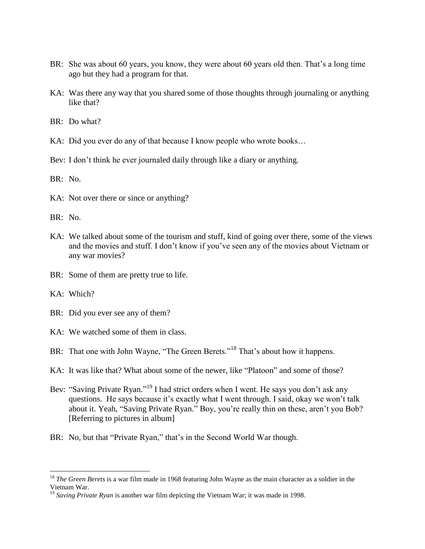- BR: She was about 60 years, you know, they were about 60 years old then. That's a long time ago but they had a program for that.
- KA: Was there any way that you shared some of those thoughts through journaling or anything like that?
- BR: Do what?
- KA: Did you ever do any of that because I know people who wrote books…
- Bev: I don't think he ever journaled daily through like a diary or anything.

BR: No.

- KA: Not over there or since or anything?
- BR: No.
- KA: We talked about some of the tourism and stuff, kind of going over there, some of the views and the movies and stuff. I don"t know if you"ve seen any of the movies about Vietnam or any war movies?
- BR: Some of them are pretty true to life.
- KA: Which?

- BR: Did you ever see any of them?
- KA: We watched some of them in class.
- BR: That one with John Wayne, "The Green Berets."<sup>18</sup> That's about how it happens.
- KA: It was like that? What about some of the newer, like "Platoon" and some of those?
- Bev: "Saving Private Ryan."<sup>19</sup> I had strict orders when I went. He says you don't ask any questions. He says because it's exactly what I went through. I said, okay we won't talk about it. Yeah, "Saving Private Ryan." Boy, you're really thin on these, aren't you Bob? [Referring to pictures in album]
- BR: No, but that "Private Ryan," that's in the Second World War though.

<sup>&</sup>lt;sup>18</sup> *The Green Berets* is a war film made in 1968 featuring John Wayne as the main character as a soldier in the Vietnam War.

<sup>&</sup>lt;sup>19</sup> Saving Private Ryan is another war film depicting the Vietnam War; it was made in 1998.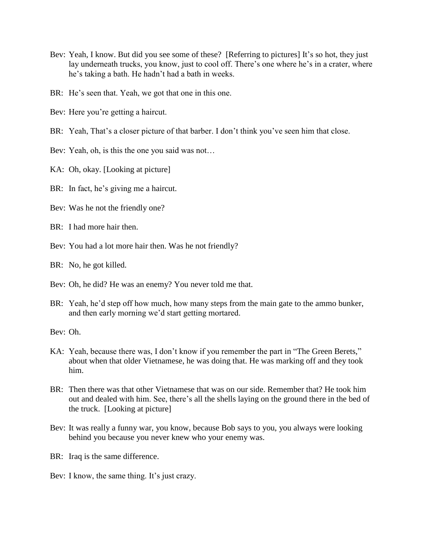- Bev: Yeah, I know. But did you see some of these? [Referring to pictures] It's so hot, they just lay underneath trucks, you know, just to cool off. There's one where he's in a crater, where he"s taking a bath. He hadn"t had a bath in weeks.
- BR: He's seen that. Yeah, we got that one in this one.
- Bev: Here you're getting a haircut.
- BR: Yeah, That's a closer picture of that barber. I don't think you've seen him that close.
- Bev: Yeah, oh, is this the one you said was not…
- KA: Oh, okay. [Looking at picture]
- BR: In fact, he's giving me a haircut.
- Bev: Was he not the friendly one?
- BR: I had more hair then.
- Bev: You had a lot more hair then. Was he not friendly?
- BR: No, he got killed.
- Bev: Oh, he did? He was an enemy? You never told me that.
- BR: Yeah, he'd step off how much, how many steps from the main gate to the ammo bunker, and then early morning we"d start getting mortared.

Bev: Oh.

- KA: Yeah, because there was, I don't know if you remember the part in "The Green Berets," about when that older Vietnamese, he was doing that. He was marking off and they took him.
- BR: Then there was that other Vietnamese that was on our side. Remember that? He took him out and dealed with him. See, there"s all the shells laying on the ground there in the bed of the truck. [Looking at picture]
- Bev: It was really a funny war, you know, because Bob says to you, you always were looking behind you because you never knew who your enemy was.

BR: Iraq is the same difference.

Bev: I know, the same thing. It's just crazy.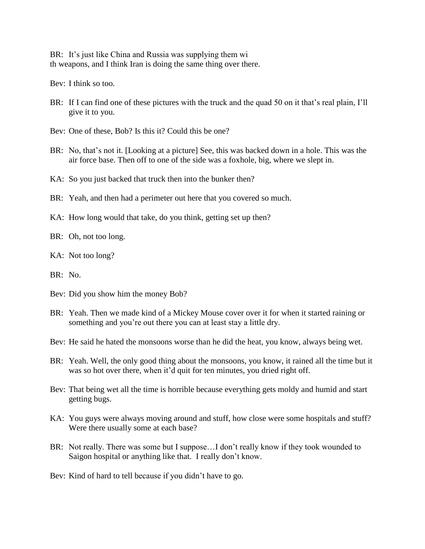BR: It's just like China and Russia was supplying them wi th weapons, and I think Iran is doing the same thing over there.

Bev: I think so too.

- BR: If I can find one of these pictures with the truck and the quad 50 on it that's real plain, I'll give it to you.
- Bev: One of these, Bob? Is this it? Could this be one?
- BR: No, that's not it. [Looking at a picture] See, this was backed down in a hole. This was the air force base. Then off to one of the side was a foxhole, big, where we slept in.
- KA: So you just backed that truck then into the bunker then?
- BR: Yeah, and then had a perimeter out here that you covered so much.
- KA: How long would that take, do you think, getting set up then?
- BR: Oh, not too long.
- KA: Not too long?
- BR: No.
- Bev: Did you show him the money Bob?
- BR: Yeah. Then we made kind of a Mickey Mouse cover over it for when it started raining or something and you"re out there you can at least stay a little dry.
- Bev: He said he hated the monsoons worse than he did the heat, you know, always being wet.
- BR: Yeah. Well, the only good thing about the monsoons, you know, it rained all the time but it was so hot over there, when it'd quit for ten minutes, you dried right off.
- Bev: That being wet all the time is horrible because everything gets moldy and humid and start getting bugs.
- KA: You guys were always moving around and stuff, how close were some hospitals and stuff? Were there usually some at each base?
- BR: Not really. There was some but I suppose...I don't really know if they took wounded to Saigon hospital or anything like that. I really don"t know.

Bev: Kind of hard to tell because if you didn"t have to go.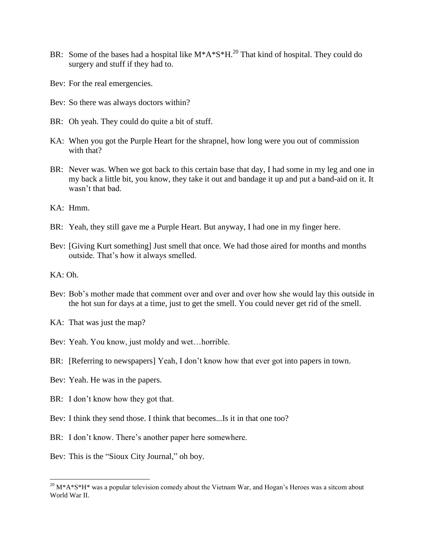- BR: Some of the bases had a hospital like  $M^*A^*S^*H^{20}$ . That kind of hospital. They could do surgery and stuff if they had to.
- Bev: For the real emergencies.
- Bev: So there was always doctors within?
- BR: Oh yeah. They could do quite a bit of stuff.
- KA: When you got the Purple Heart for the shrapnel, how long were you out of commission with that?
- BR: Never was. When we got back to this certain base that day, I had some in my leg and one in my back a little bit, you know, they take it out and bandage it up and put a band-aid on it. It wasn"t that bad.
- KA: Hmm.
- BR: Yeah, they still gave me a Purple Heart. But anyway, I had one in my finger here.
- Bev: [Giving Kurt something] Just smell that once. We had those aired for months and months outside. That"s how it always smelled.
- KA: Oh.

- Bev: Bob's mother made that comment over and over and over how she would lay this outside in the hot sun for days at a time, just to get the smell. You could never get rid of the smell.
- KA: That was just the map?
- Bev: Yeah. You know, just moldy and wet…horrible.
- BR: [Referring to newspapers] Yeah, I don't know how that ever got into papers in town.
- Bev: Yeah. He was in the papers.
- BR: I don't know how they got that.
- Bev: I think they send those. I think that becomes...Is it in that one too?
- BR: I don't know. There's another paper here somewhere.
- Bev: This is the "Sioux City Journal," oh boy.

 $^{20}$  M\*A\*S\*H\* was a popular television comedy about the Vietnam War, and Hogan's Heroes was a sitcom about World War II.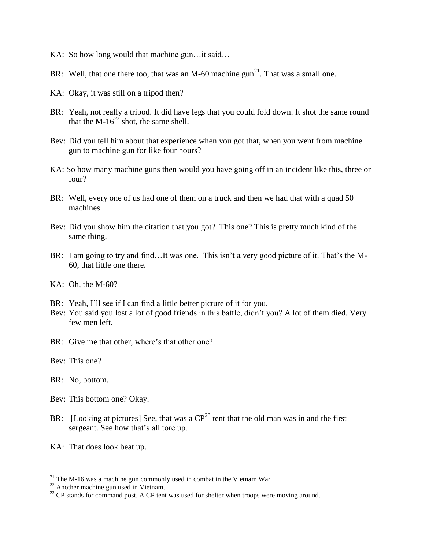- KA: So how long would that machine gun... it said...
- BR: Well, that one there too, that was an M-60 machine  $\text{gun}^{21}$ . That was a small one.
- KA: Okay, it was still on a tripod then?
- BR: Yeah, not really a tripod. It did have legs that you could fold down. It shot the same round that the M- $16^{22}$  shot, the same shell.
- Bev: Did you tell him about that experience when you got that, when you went from machine gun to machine gun for like four hours?
- KA: So how many machine guns then would you have going off in an incident like this, three or four?
- BR: Well, every one of us had one of them on a truck and then we had that with a quad 50 machines.
- Bev: Did you show him the citation that you got? This one? This is pretty much kind of the same thing.
- BR: I am going to try and find...It was one. This isn't a very good picture of it. That's the M-60, that little one there.
- KA: Oh, the M-60?
- BR: Yeah, I'll see if I can find a little better picture of it for you.
- Bev: You said you lost a lot of good friends in this battle, didn't you? A lot of them died. Very few men left.
- BR: Give me that other, where's that other one?

Bev: This one?

BR: No, bottom.

- Bev: This bottom one? Okay.
- BR: [Looking at pictures] See, that was a  $CP^{23}$  tent that the old man was in and the first sergeant. See how that's all tore up.
- KA: That does look beat up.

 $21$  The M-16 was a machine gun commonly used in combat in the Vietnam War.

 $22$  Another machine gun used in Vietnam.

 $^{23}$  CP stands for command post. A CP tent was used for shelter when troops were moving around.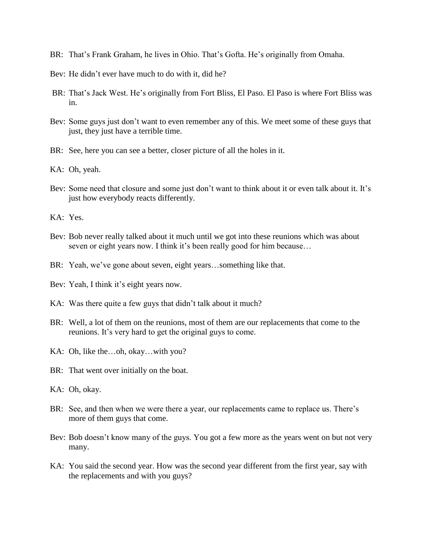- BR: That"s Frank Graham, he lives in Ohio. That"s Gofta. He"s originally from Omaha.
- Bey: He didn't ever have much to do with it, did he?
- BR: That's Jack West. He's originally from Fort Bliss, El Paso. El Paso is where Fort Bliss was in.
- Bev: Some guys just don't want to even remember any of this. We meet some of these guys that just, they just have a terrible time.
- BR: See, here you can see a better, closer picture of all the holes in it.
- KA: Oh, yeah.
- Bev: Some need that closure and some just don't want to think about it or even talk about it. It's just how everybody reacts differently.
- KA: Yes.
- Bev: Bob never really talked about it much until we got into these reunions which was about seven or eight years now. I think it's been really good for him because...
- BR: Yeah, we've gone about seven, eight years...something like that.
- Bev: Yeah, I think it's eight years now.
- KA: Was there quite a few guys that didn't talk about it much?
- BR: Well, a lot of them on the reunions, most of them are our replacements that come to the reunions. It's very hard to get the original guys to come.
- KA: Oh, like the…oh, okay…with you?
- BR: That went over initially on the boat.
- KA: Oh, okay.
- BR: See, and then when we were there a year, our replacements came to replace us. There"s more of them guys that come.
- Bev: Bob doesn't know many of the guys. You got a few more as the years went on but not very many.
- KA: You said the second year. How was the second year different from the first year, say with the replacements and with you guys?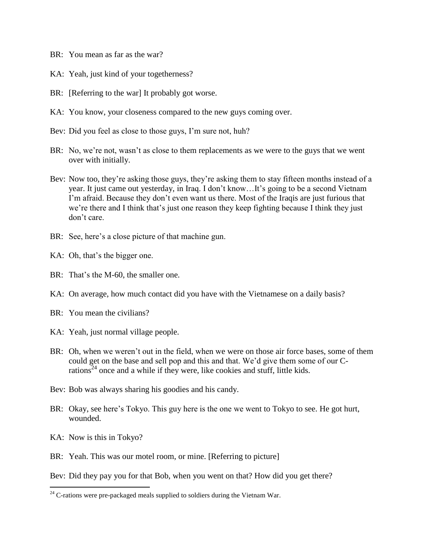- BR: You mean as far as the war?
- KA: Yeah, just kind of your togetherness?
- BR: [Referring to the war] It probably got worse.
- KA: You know, your closeness compared to the new guys coming over.
- Bev: Did you feel as close to those guys, I'm sure not, huh?
- BR: No, we're not, wasn't as close to them replacements as we were to the guys that we went over with initially.
- Bev: Now too, they're asking those guys, they're asking them to stay fifteen months instead of a year. It just came out yesterday, in Iraq. I don"t know…It"s going to be a second Vietnam I'm afraid. Because they don't even want us there. Most of the Iraqis are just furious that we"re there and I think that"s just one reason they keep fighting because I think they just don"t care.
- BR: See, here's a close picture of that machine gun.
- KA: Oh, that's the bigger one.
- BR: That's the M-60, the smaller one.
- KA: On average, how much contact did you have with the Vietnamese on a daily basis?
- BR: You mean the civilians?
- KA: Yeah, just normal village people.
- BR: Oh, when we weren"t out in the field, when we were on those air force bases, some of them could get on the base and sell pop and this and that. We"d give them some of our Crations<sup>24</sup> once and a while if they were, like cookies and stuff, little kids.
- Bev: Bob was always sharing his goodies and his candy.
- BR: Okay, see here's Tokyo. This guy here is the one we went to Tokyo to see. He got hurt, wounded.
- KA: Now is this in Tokyo?

 $\overline{a}$ 

BR: Yeah. This was our motel room, or mine. [Referring to picture]

Bev: Did they pay you for that Bob, when you went on that? How did you get there?

 $24$  C-rations were pre-packaged meals supplied to soldiers during the Vietnam War.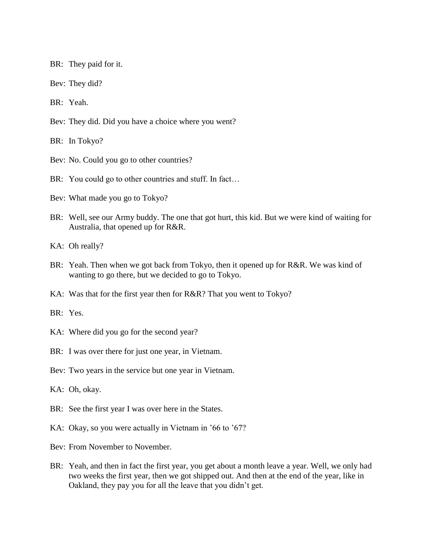BR: They paid for it.

Bev: They did?

BR: Yeah.

Bev: They did. Did you have a choice where you went?

BR: In Tokyo?

- Bev: No. Could you go to other countries?
- BR: You could go to other countries and stuff. In fact...
- Bev: What made you go to Tokyo?
- BR: Well, see our Army buddy. The one that got hurt, this kid. But we were kind of waiting for Australia, that opened up for R&R.

KA: Oh really?

- BR: Yeah. Then when we got back from Tokyo, then it opened up for R&R. We was kind of wanting to go there, but we decided to go to Tokyo.
- KA: Was that for the first year then for R&R? That you went to Tokyo?

BR: Yes.

- KA: Where did you go for the second year?
- BR: I was over there for just one year, in Vietnam.
- Bev: Two years in the service but one year in Vietnam.

KA: Oh, okay.

- BR: See the first year I was over here in the States.
- KA: Okay, so you were actually in Vietnam in '66 to '67?
- Bev: From November to November.
- BR: Yeah, and then in fact the first year, you get about a month leave a year. Well, we only had two weeks the first year, then we got shipped out. And then at the end of the year, like in Oakland, they pay you for all the leave that you didn"t get.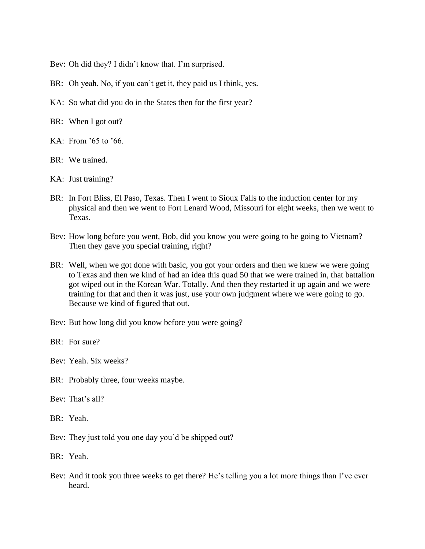Bev: Oh did they? I didn't know that. I'm surprised.

- BR: Oh yeah. No, if you can't get it, they paid us I think, yes.
- KA: So what did you do in the States then for the first year?
- BR: When I got out?
- KA: From "65 to "66.
- BR: We trained.
- KA: Just training?
- BR: In Fort Bliss, El Paso, Texas. Then I went to Sioux Falls to the induction center for my physical and then we went to Fort Lenard Wood, Missouri for eight weeks, then we went to Texas.
- Bev: How long before you went, Bob, did you know you were going to be going to Vietnam? Then they gave you special training, right?
- BR: Well, when we got done with basic, you got your orders and then we knew we were going to Texas and then we kind of had an idea this quad 50 that we were trained in, that battalion got wiped out in the Korean War. Totally. And then they restarted it up again and we were training for that and then it was just, use your own judgment where we were going to go. Because we kind of figured that out.
- Bev: But how long did you know before you were going?
- BR: For sure?
- Bev: Yeah. Six weeks?
- BR: Probably three, four weeks maybe.
- Bev: That's all?
- BR: Yeah.
- Bev: They just told you one day you'd be shipped out?
- BR: Yeah.
- Bev: And it took you three weeks to get there? He's telling you a lot more things than I've ever heard.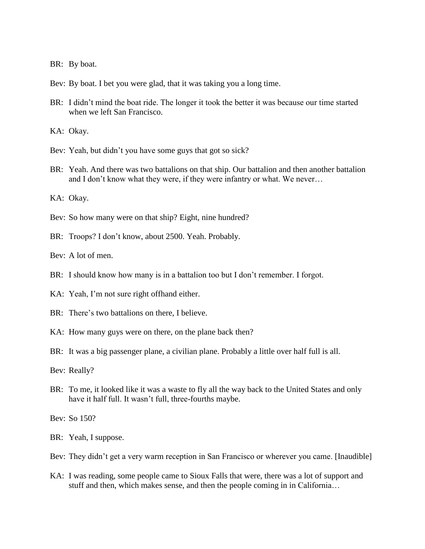BR: By boat.

Bev: By boat. I bet you were glad, that it was taking you a long time.

BR: I didn't mind the boat ride. The longer it took the better it was because our time started when we left San Francisco.

KA: Okay.

- Bev: Yeah, but didn't you have some guys that got so sick?
- BR: Yeah. And there was two battalions on that ship. Our battalion and then another battalion and I don"t know what they were, if they were infantry or what. We never…

KA: Okay.

- Bev: So how many were on that ship? Eight, nine hundred?
- BR: Troops? I don't know, about 2500. Yeah. Probably.

Bev: A lot of men.

- BR: I should know how many is in a battalion too but I don't remember. I forgot.
- KA: Yeah, I'm not sure right offhand either.
- BR: There's two battalions on there, I believe.
- KA: How many guys were on there, on the plane back then?
- BR: It was a big passenger plane, a civilian plane. Probably a little over half full is all.

Bev: Really?

BR: To me, it looked like it was a waste to fly all the way back to the United States and only have it half full. It wasn't full, three-fourths maybe.

Bev: So 150?

- BR: Yeah, I suppose.
- Bev: They didn't get a very warm reception in San Francisco or wherever you came. [Inaudible]
- KA: I was reading, some people came to Sioux Falls that were, there was a lot of support and stuff and then, which makes sense, and then the people coming in in California…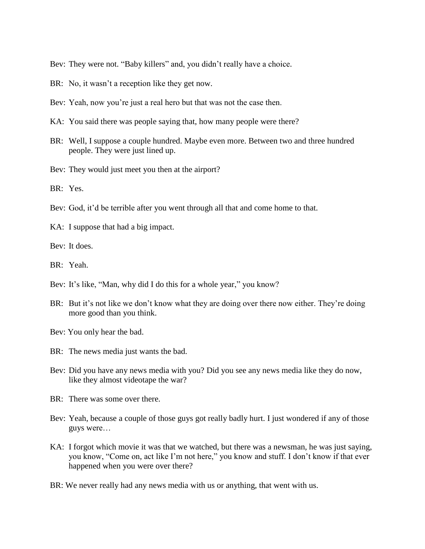Bev: They were not. "Baby killers" and, you didn't really have a choice.

- BR: No, it wasn't a reception like they get now.
- Bev: Yeah, now you're just a real hero but that was not the case then.
- KA: You said there was people saying that, how many people were there?
- BR: Well, I suppose a couple hundred. Maybe even more. Between two and three hundred people. They were just lined up.
- Bev: They would just meet you then at the airport?

BR: Yes.

- Bev: God, it'd be terrible after you went through all that and come home to that.
- KA: I suppose that had a big impact.

Bev: It does.

- BR: Yeah.
- Bev: It's like, "Man, why did I do this for a whole year," you know?
- BR: But it's not like we don't know what they are doing over there now either. They're doing more good than you think.
- Bev: You only hear the bad.
- BR: The news media just wants the bad.
- Bev: Did you have any news media with you? Did you see any news media like they do now, like they almost videotape the war?
- BR: There was some over there.
- Bev: Yeah, because a couple of those guys got really badly hurt. I just wondered if any of those guys were…
- KA: I forgot which movie it was that we watched, but there was a newsman, he was just saying, you know, "Come on, act like I"m not here," you know and stuff. I don"t know if that ever happened when you were over there?
- BR: We never really had any news media with us or anything, that went with us.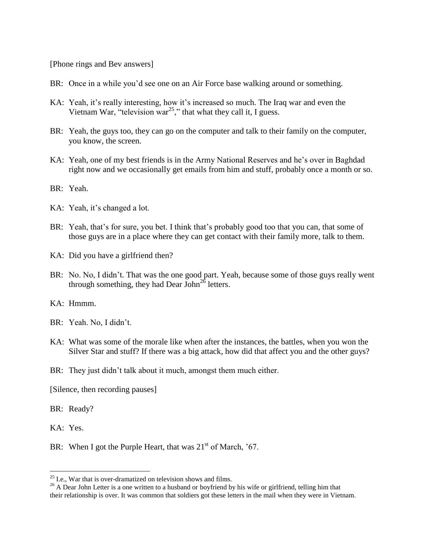[Phone rings and Bev answers]

- BR: Once in a while you'd see one on an Air Force base walking around or something.
- KA: Yeah, it's really interesting, how it's increased so much. The Iraq war and even the Vietnam War, "television war<sup>25</sup>," that what they call it, I guess.
- BR: Yeah, the guys too, they can go on the computer and talk to their family on the computer, you know, the screen.
- KA: Yeah, one of my best friends is in the Army National Reserves and he"s over in Baghdad right now and we occasionally get emails from him and stuff, probably once a month or so.
- BR: Yeah.
- KA: Yeah, it's changed a lot.
- BR: Yeah, that's for sure, you bet. I think that's probably good too that you can, that some of those guys are in a place where they can get contact with their family more, talk to them.
- KA: Did you have a girlfriend then?
- BR: No. No, I didn't. That was the one good part. Yeah, because some of those guys really went through something, they had Dear John<sup>26</sup> letters.
- KA: Hmmm.
- BR: Yeah. No, I didn't.
- KA: What was some of the morale like when after the instances, the battles, when you won the Silver Star and stuff? If there was a big attack, how did that affect you and the other guys?
- BR: They just didn't talk about it much, amongst them much either.

[Silence, then recording pauses]

BR: Ready?

KA: Yes.

 $\overline{a}$ 

BR: When I got the Purple Heart, that was  $21<sup>st</sup>$  of March, '67.

 $^{25}$  I.e., War that is over-dramatized on television shows and films.

<sup>&</sup>lt;sup>26</sup> A Dear John Letter is a one written to a husband or boyfriend by his wife or girlfriend, telling him that their relationship is over. It was common that soldiers got these letters in the mail when they were in Vietnam.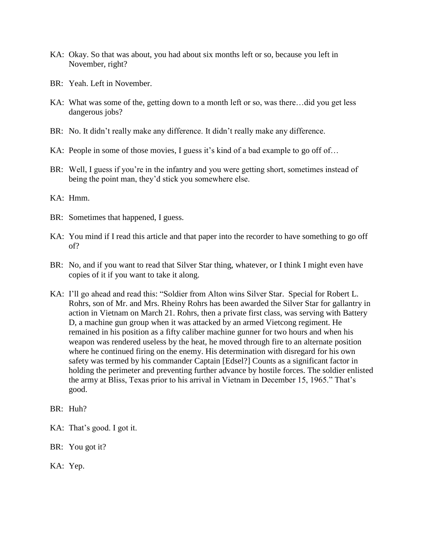- KA: Okay. So that was about, you had about six months left or so, because you left in November, right?
- BR: Yeah. Left in November.
- KA: What was some of the, getting down to a month left or so, was there…did you get less dangerous jobs?
- BR: No. It didn't really make any difference. It didn't really make any difference.
- KA: People in some of those movies, I guess it's kind of a bad example to go off of...
- BR: Well, I guess if you're in the infantry and you were getting short, sometimes instead of being the point man, they"d stick you somewhere else.
- KA: Hmm.
- BR: Sometimes that happened, I guess.
- KA: You mind if I read this article and that paper into the recorder to have something to go off of?
- BR: No, and if you want to read that Silver Star thing, whatever, or I think I might even have copies of it if you want to take it along.
- KA: I"ll go ahead and read this: "Soldier from Alton wins Silver Star. Special for Robert L. Rohrs, son of Mr. and Mrs. Rheiny Rohrs has been awarded the Silver Star for gallantry in action in Vietnam on March 21. Rohrs, then a private first class, was serving with Battery D, a machine gun group when it was attacked by an armed Vietcong regiment. He remained in his position as a fifty caliber machine gunner for two hours and when his weapon was rendered useless by the heat, he moved through fire to an alternate position where he continued firing on the enemy. His determination with disregard for his own safety was termed by his commander Captain [Edsel?] Counts as a significant factor in holding the perimeter and preventing further advance by hostile forces. The soldier enlisted the army at Bliss, Texas prior to his arrival in Vietnam in December 15, 1965." That"s good.
- BR: Huh?
- KA: That's good. I got it.
- BR: You got it?
- KA: Yep.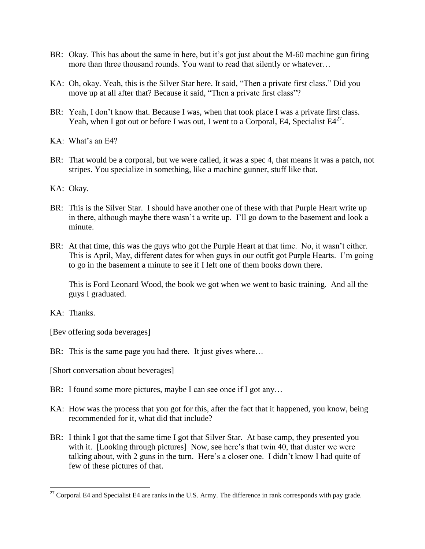- BR: Okay. This has about the same in here, but it's got just about the M-60 machine gun firing more than three thousand rounds. You want to read that silently or whatever…
- KA: Oh, okay. Yeah, this is the Silver Star here. It said, "Then a private first class." Did you move up at all after that? Because it said, "Then a private first class"?
- BR: Yeah, I don't know that. Because I was, when that took place I was a private first class. Yeah, when I got out or before I was out, I went to a Corporal, E4, Specialist  $E4^{27}$ .
- KA: What's an E4?
- BR: That would be a corporal, but we were called, it was a spec 4, that means it was a patch, not stripes. You specialize in something, like a machine gunner, stuff like that.
- KA: Okay.
- BR: This is the Silver Star. I should have another one of these with that Purple Heart write up in there, although maybe there wasn"t a write up. I"ll go down to the basement and look a minute.
- BR: At that time, this was the guys who got the Purple Heart at that time. No, it wasn't either. This is April, May, different dates for when guys in our outfit got Purple Hearts. I"m going to go in the basement a minute to see if I left one of them books down there.

This is Ford Leonard Wood, the book we got when we went to basic training. And all the guys I graduated.

KA: Thanks.

 $\overline{a}$ 

[Bev offering soda beverages]

- BR: This is the same page you had there. It just gives where...
- [Short conversation about beverages]
- BR: I found some more pictures, maybe I can see once if I got any...
- KA: How was the process that you got for this, after the fact that it happened, you know, being recommended for it, what did that include?
- BR: I think I got that the same time I got that Silver Star. At base camp, they presented you with it. [Looking through pictures] Now, see here's that twin 40, that duster we were talking about, with 2 guns in the turn. Here's a closer one. I didn't know I had quite of few of these pictures of that.

<sup>&</sup>lt;sup>27</sup> Corporal E4 and Specialist E4 are ranks in the U.S. Army. The difference in rank corresponds with pay grade.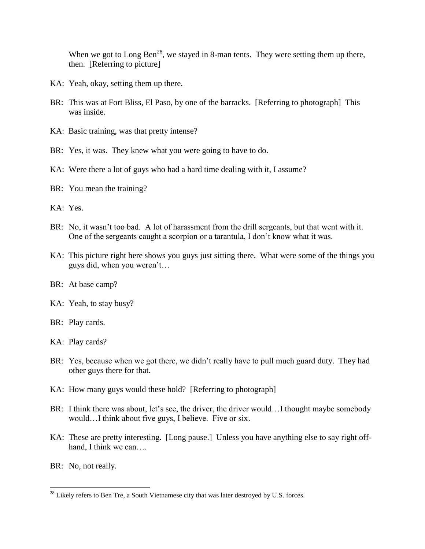When we got to Long Ben<sup>28</sup>, we stayed in 8-man tents. They were setting them up there, then. [Referring to picture]

- KA: Yeah, okay, setting them up there.
- BR: This was at Fort Bliss, El Paso, by one of the barracks. [Referring to photograph] This was inside.
- KA: Basic training, was that pretty intense?
- BR: Yes, it was. They knew what you were going to have to do.
- KA: Were there a lot of guys who had a hard time dealing with it, I assume?
- BR: You mean the training?

KA: Yes.

- BR: No, it wasn't too bad. A lot of harassment from the drill sergeants, but that went with it. One of the sergeants caught a scorpion or a tarantula, I don"t know what it was.
- KA: This picture right here shows you guys just sitting there. What were some of the things you guys did, when you weren"t…
- BR: At base camp?
- KA: Yeah, to stay busy?
- BR: Play cards.
- KA: Play cards?
- BR: Yes, because when we got there, we didn"t really have to pull much guard duty. They had other guys there for that.
- KA: How many guys would these hold? [Referring to photograph]
- BR: I think there was about, let's see, the driver, the driver would...I thought maybe somebody would…I think about five guys, I believe. Five or six.
- KA: These are pretty interesting. [Long pause.] Unless you have anything else to say right offhand, I think we can....
- BR: No, not really.

 $^{28}$  Likely refers to Ben Tre, a South Vietnamese city that was later destroyed by U.S. forces.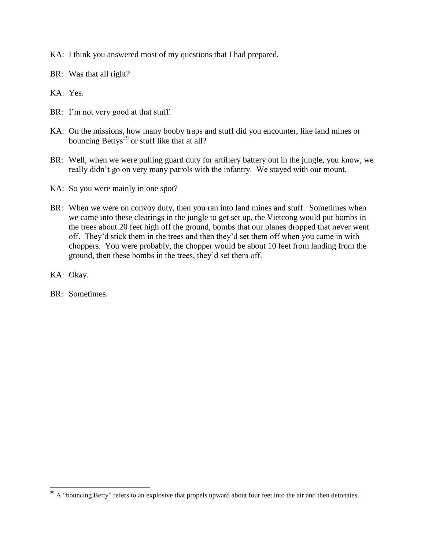KA: I think you answered most of my questions that I had prepared.

BR: Was that all right?

KA: Yes.

- BR: I'm not very good at that stuff.
- KA: On the missions, how many booby traps and stuff did you encounter, like land mines or bouncing Bettys $^{29}$  or stuff like that at all?
- BR: Well, when we were pulling guard duty for artillery battery out in the jungle, you know, we really didn"t go on very many patrols with the infantry. We stayed with our mount.
- KA: So you were mainly in one spot?
- BR: When we were on convoy duty, then you ran into land mines and stuff. Sometimes when we came into these clearings in the jungle to get set up, the Vietcong would put bombs in the trees about 20 feet high off the ground, bombs that our planes dropped that never went off. They"d stick them in the trees and then they"d set them off when you came in with choppers. You were probably, the chopper would be about 10 feet from landing from the ground, then these bombs in the trees, they"d set them off.
- KA: Okay.

 $\overline{a}$ 

BR: Sometimes.

 $^{29}$  A "bouncing Betty" refers to an explosive that propels upward about four feet into the air and then detonates.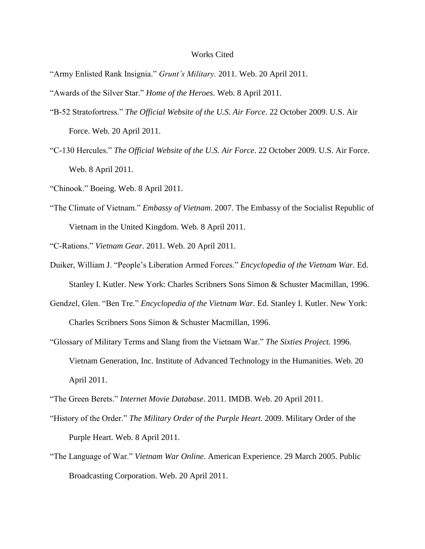## Works Cited

"Army Enlisted Rank Insignia." *Grunt's Military.* 2011. Web. 20 April 2011.

"Awards of the Silver Star." *Home of the Heroes*. Web. 8 April 2011.

- "B-52 Stratofortress." *The Official Website of the U.S. Air Force*. 22 October 2009. U.S. Air Force. Web. 20 April 2011.
- "C-130 Hercules." *The Official Website of the U.S. Air Force*. 22 October 2009. U.S. Air Force. Web. 8 April 2011.
- "Chinook." Boeing. Web. 8 April 2011.
- "The Climate of Vietnam." *Embassy of Vietnam*. 2007. The Embassy of the Socialist Republic of Vietnam in the United Kingdom. Web. 8 April 2011.

"C-Rations." *Vietnam Gear*. 2011. Web. 20 April 2011.

- Duiker, William J. "People"s Liberation Armed Forces." *Encyclopedia of the Vietnam War.* Ed. Stanley I. Kutler. New York: Charles Scribners Sons Simon & Schuster Macmillan, 1996.
- Gendzel, Glen. "Ben Tre." *Encyclopedia of the Vietnam War.* Ed. Stanley I. Kutler. New York: Charles Scribners Sons Simon & Schuster Macmillan, 1996.
- "Glossary of Military Terms and Slang from the Vietnam War." *The Sixties Project.* 1996. Vietnam Generation, Inc. Institute of Advanced Technology in the Humanities. Web. 20 April 2011.
- "The Green Berets." *Internet Movie Database*. 2011. IMDB. Web. 20 April 2011.
- "History of the Order." *The Military Order of the Purple Heart*. 2009. Military Order of the Purple Heart. Web. 8 April 2011.
- "The Language of War." *Vietnam War Online*. American Experience. 29 March 2005. Public Broadcasting Corporation. Web. 20 April 2011.